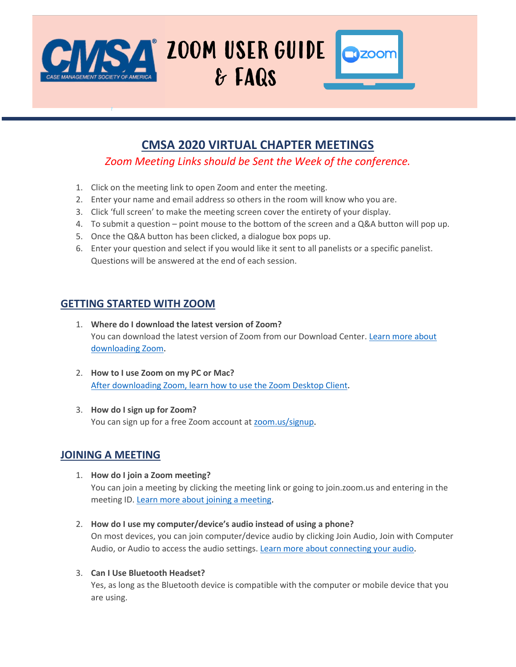

# **CMSA 2020 VIRTUAL CHAPTER MEETINGS**

*Zoom Meeting Links should be Sent the Week of the conference.*

- 1. Click on the meeting link to open Zoom and enter the meeting.
- 2. Enter your name and email address so others in the room will know who you are.
- 3. Click 'full screen' to make the meeting screen cover the entirety of your display.
- 4. To submit a question point mouse to the bottom of the screen and a Q&A button will pop up.
- 5. Once the Q&A button has been clicked, a dialogue box pops up.
- 6. Enter your question and select if you would like it sent to all panelists or a specific panelist. Questions will be answered at the end of each session.

## **GETTING STARTED WITH ZOOM**

- 1. **Where do I download the latest version of Zoom?** You can download the latest version of Zoom from our Download Center. [Learn more about](https://support.zoom.us/hc/en-us/articles/201362233)  [downloading Zoom.](https://support.zoom.us/hc/en-us/articles/201362233)
- 2. **How to I use Zoom on my PC or Mac?** [After downloading Zoom, learn how to use the Zoom Desktop Client.](https://support.zoom.us/hc/en-us/articles/201362033-Getting-Started-on-PC-and-Mac)
- 3. **How do I sign up for Zoom?** You can sign up for a free Zoom account at [zoom.us/signup.](https://zoom.us/signup)

# **JOINING A MEETING**

- 1. **How do I join a Zoom meeting?** You can join a meeting by clicking the meeting link or going to join.zoom.us and entering in the meeting ID. [Learn more about joining a meeting.](https://support.zoom.us/hc/en-us/articles/201362193)
- 2. **How do I use my computer/device's audio instead of using a phone?** On most devices, you can join computer/device audio by clicking Join Audio, Join with Computer Audio, or Audio to access the audio settings[. Learn more about connecting your audio.](https://support.zoom.us/hc/en-us/articles/201362283-How-Do-I-Join-or-Test-My-Computer-Audio-)
- 3. **Can I Use Bluetooth Headset?**

Yes, as long as the Bluetooth device is compatible with the computer or mobile device that you are using.